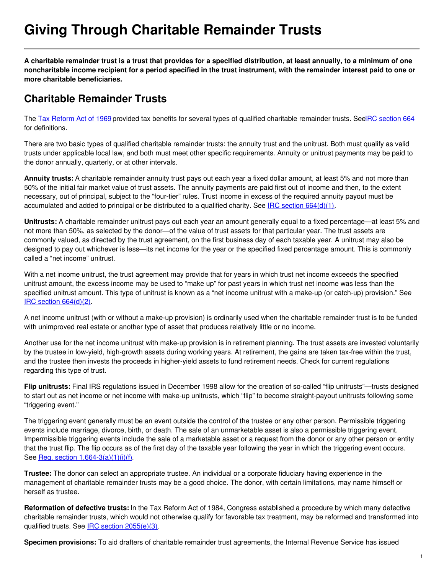# **Giving Through Charitable Remainder Trusts**

A charitable remainder trust is a trust that provides for a specified distribution, at least annually, to a minimum of one noncharitable income recipient for a period specified in the trust instrument, with the remainder interest paid to one or **more charitable beneficiaries.**

### **Charitable Remainder Trusts**

The Tax [Reform](http://www.pgdc.com/general/tax-reform-act-1969?gid=431) Act of 1969 provided tax benefits for several types of qualified charitable remainder trusts. See RC [section](https://www.law.cornell.edu/uscode/text/26/664) 664 for definitions.

There are two basic types of qualified charitable remainder trusts: the annuity trust and the unitrust. Both must qualify as valid trusts under applicable local law, and both must meet other specific requirements. Annuity or unitrust payments may be paid to the donor annually, quarterly, or at other intervals.

**Annuity trusts:** A charitable remainder annuity trust pays out each year a fixed dollar amount, at least 5% and not more than 50% of the initial fair market value of trust assets. The annuity payments are paid first out of income and then, to the extent necessary, out of principal, subject to the "four-tier" rules. Trust income in excess of the required annuity payout must be accumulated and added to principal or be distributed to a qualified charity. See IRC section [664\(d\)\(1\)](https://www.law.cornell.edu/uscode/text/26/664#d_1).

**Unitrusts:** A charitable remainder unitrust pays out each year an amount generally equal to a fixed percentage—at least 5% and not more than 50%, as selected by the donor—of the value of trust assets for that particular year. The trust assets are commonly valued, as directed by the trust agreement, on the first business day of each taxable year. A unitrust may also be designed to pay out whichever is less—its net income for the year or the specified fixed percentage amount. This is commonly called a "net income" unitrust.

With a net income unitrust, the trust agreement may provide that for years in which trust net income exceeds the specified unitrust amount, the excess income may be used to "make up" for past years in which trust net income was less than the specified unitrust amount. This type of unitrust is known as a "net income unitrust with a make-up (or catch-up) provision." See IRC section [664\(d\)\(2\)](https://www.law.cornell.edu/uscode/text/26/664#d_2).

A net income unitrust (with or without a make-up provision) is ordinarily used when the charitable remainder trust is to be funded with unimproved real estate or another type of asset that produces relatively little or no income.

Another use for the net income unitrust with make-up provision is in retirement planning. The trust assets are invested voluntarily by the trustee in low-yield, high-growth assets during working years. At retirement, the gains are taken tax-free within the trust, and the trustee then invests the proceeds in higher-yield assets to fund retirement needs. Check for current regulations regarding this type of trust.

**Flip unitrusts:** Final IRS regulations issued in December 1998 allow for the creation of so-called "flip unitrusts"—trusts designed to start out as net income or net income with make-up unitrusts, which "flip" to become straight-payout unitrusts following some "triggering event."

The triggering event generally must be an event outside the control of the trustee or any other person. Permissible triggering events include marriage, divorce, birth, or death. The sale of an unmarketable asset is also a permissible triggering event. Impermissible triggering events include the sale of a marketable asset or a request from the donor or any other person or entity that the trust flip. The flip occurs as of the first day of the taxable year following the year in which the triggering event occurs. See <u>Reg. section [1.664-3\(a\)\(1\)\(i\)\(f\)](http://edocket.access.gpo.gov/cfr_2008/aprqtr/pdf/26cfr1.664-3.pdf)</u>.

**Trustee:** The donor can select an appropriate trustee. An individual or a corporate fiduciary having experience in the management of charitable remainder trusts may be a good choice. The donor, with certain limitations, may name himself or herself as trustee.

**Reformation of defective trusts:** In the Tax Reform Act of 1984, Congress established a procedure by which many defective charitable remainder trusts, which would not otherwise qualify for favorable tax treatment, may be reformed and transformed into qualified trusts. See IRC section [2055\(e\)\(3\)](https://www.law.cornell.edu/uscode/text/26/2055#e_3).

**Specimen provisions:** To aid drafters of charitable remainder trust agreements, the Internal Revenue Service has issued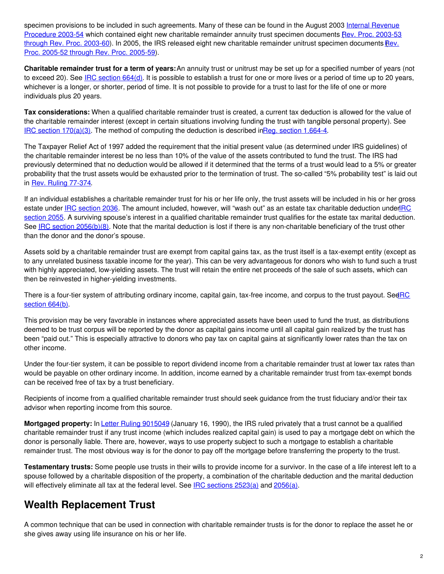specimen provisions to be included in such [agreements.](http://www.pgdc.com/pgdc/story/sample-inter-vivos-crat-instruments-term-years-annuity-period?gid=431) Many of these can be found in the August 2003 Internal Revenue Procedure 2003-54 which contained eight new charitable remainder annuity trust specimen [documents](http://www.pgdc.com/pgdc/news-story/2003/08/07/service-updates-sample-charitable-remainder-annuity-trust-documents?gid=431) Rev. Proc. 2003-53 through Rev. Proc. 2003-60). In 2005, the IRS released eight new charitable remainder unitrust specimen [documents](http://www.pgdc.com/pgdc/news-story/2005/08/22/irs-provides-eight-new-sample-inter-vivos-and-testamentary-crut-declarations?gid=431) Rev. Proc. 2005-52 through Rev. Proc. 2005-59).

**Charitable remainder trust for a term of years:**An annuity trust or unitrust may be set up for a specified number of years (not to exceed 20). See IRC [section](https://www.law.cornell.edu/uscode/text/26/664#d) 664(d). It is possible to establish a trust for one or more lives or a period of time up to 20 years, whichever is a longer, or shorter, period of time. It is not possible to provide for a trust to last for the life of one or more individuals plus 20 years.

**Tax considerations:** When a qualified charitable remainder trust is created, a current tax deduction is allowed for the value of the charitable remainder interest (except in certain situations involving funding the trust with tangible personal property). See IRC section  $170(a)(3)$ . The method of computing the deduction is described inReg. section [1.664-4](http://edocket.access.gpo.gov/cfr_2008/aprqtr/pdf/26cfr1.664-4.pdf).

The Taxpayer Relief Act of 1997 added the requirement that the initial present value (as determined under IRS guidelines) of the charitable remainder interest be no less than 10% of the value of the assets contributed to fund the trust. The IRS had previously determined that no deduction would be allowed if it determined that the terms of a trust would lead to a 5% or greater probability that the trust assets would be exhausted prior to the termination of trust. The so-called "5% probability test" is laid out in Rev. Ruling [77-374](http://www.pgdc.com/pgdc/story/rev-rul-77-374?gid=431).

If an individual establishes a charitable remainder trust for his or her life only, the trust assets will be included in his or her gross estate under IRC [section](https://www.law.cornell.edu/uscode/text/26/2036) 2036. The amount included, however, will "wash out" as an estate tax charitable [deduction](https://www.law.cornell.edu/uscode/text/26/2055) underIRC section 2055. A surviving spouse's interest in a qualified charitable remainder trust qualifies for the estate tax marital deduction. See IRC section [2056\(b\)\(8\)](https://www.law.cornell.edu/uscode/text/26/2056#b_8). Note that the marital deduction is lost if there is any non-charitable beneficiary of the trust other than the donor and the donor's spouse.

Assets sold by a charitable remainder trust are exempt from capital gains tax, as the trust itself is a tax-exempt entity (except as to any unrelated business taxable income for the year). This can be very advantageous for donors who wish to fund such a trust with highly appreciated, low-yielding assets. The trust will retain the entire net proceeds of the sale of such assets, which can then be reinvested in higher-yielding investments.

There is a four-tier system of [attributing](https://www.law.cornell.edu/uscode/text/26/664#b) ordinary income, capital gain, tax-free income, and corpus to the trust payout. See RC section 664(b).

This provision may be very favorable in instances where appreciated assets have been used to fund the trust, as distributions deemed to be trust corpus will be reported by the donor as capital gains income until all capital gain realized by the trust has been "paid out." This is especially attractive to donors who pay tax on capital gains at significantly lower rates than the tax on other income.

Under the four-tier system, it can be possible to report dividend income from a charitable remainder trust at lower tax rates than would be payable on other ordinary income. In addition, income earned by a charitable remainder trust from tax-exempt bonds can be received free of tax by a trust beneficiary.

Recipients of income from a qualified charitable remainder trust should seek guidance from the trust fiduciary and/or their tax advisor when reporting income from this source.

**Mortgaged property:** In Letter Ruling [9015049](http://www.pgdc.com/pgdc/story/ltr-rul-9015049?gid=431) (January 16, 1990), the IRS ruled privately that a trust cannot be a qualified charitable remainder trust if any trust income (which includes realized capital gain) is used to pay a mortgage debt on which the donor is personally liable. There are, however, ways to use property subject to such a mortgage to establish a charitable remainder trust. The most obvious way is for the donor to pay off the mortgage before transferring the property to the trust.

**Testamentary trusts:** Some people use trusts in their wills to provide income for a survivor. In the case of a life interest left to a spouse followed by a charitable disposition of the property, a combination of the charitable deduction and the marital deduction will effectively eliminate all tax at the federal level. See IRC [sections](https://www.law.cornell.edu/uscode/text/26/2523#a) 2523(a) and [2056\(a\)](https://www.law.cornell.edu/uscode/text/26/2056#a).

## **Wealth Replacement Trust**

A common technique that can be used in connection with charitable remainder trusts is for the donor to replace the asset he or she gives away using life insurance on his or her life.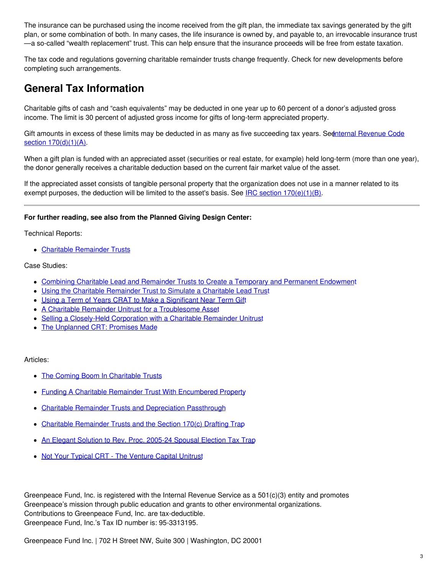The insurance can be purchased using the income received from the gift plan, the immediate tax savings generated by the gift plan, or some combination of both. In many cases, the life insurance is owned by, and payable to, an irrevocable insurance trust —a so-called "wealth replacement" trust. This can help ensure that the insurance proceeds will be free from estate taxation.

The tax code and regulations governing charitable remainder trusts change frequently. Check for new developments before completing such arrangements.

#### **General Tax Information**

Charitable gifts of cash and "cash equivalents" may be deducted in one year up to 60 percent of a donor's adjusted gross income. The limit is 30 percent of adjusted gross income for gifts of long-term appreciated property.

Gift amounts in excess of these limits may be deducted in as many as five succeeding tax years. Seenternal Revenue Code section  $170(d)(1)(A)$ .

When a gift plan is funded with an appreciated asset (securities or real estate, for example) held long-term (more than one year), the donor generally receives a charitable deduction based on the current fair market value of the asset.

If the appreciated asset consists of tangible personal property that the organization does not use in a manner related to its exempt purposes, the deduction will be limited to the asset's basis. See IRC section  $170(e)(1)(B)$ .

#### **For further reading, see also from the Planned Giving Design Center:**

Technical Reports:

**Charitable [Remainder](http://www.pgdc.com/node/60796?gid=431) Trusts** 

Case Studies:

- Combining Charitable Lead and Remainder Trusts to Create a Temporary and Permanent [Endowmen](http://pgdc.com/node/949413?gid=431)t
- Using the Charitable [Remainder](http://pgdc.com/node/948149?gid=431) Trust to Simulate a Charitable Lead Trust
- Using a Term of Years CRAT to Make a [Significant](http://pgdc.com/node/937997?gid=431) Near Term Gift
- A Charitable Remainder Unitrust for a [Troublesome](http://pgdc.com/pgdc/case-study-the-unplanned-crt-promises-made?gid=431) Asset
- Selling a [Closely-Held](http://pgdc.com/node/275399?gid=431) Corporation with a Charitable Remainder Unitrust
- The [Unplanned](http://www.pgdc.com/pgdc/case-study-the-unplanned-crt-promises-made?gid=431) CRT: Promises Made

#### Articles:

- The Coming Boom In [Charitable](http://www.pgdc.com/pgdc/the-coming-boom-in-charitable-trusts?gid=431) Trusts
- Funding A Charitable Remainder Trust With [Encumbered](http://www.pgdc.com/pgdc/funding-a-charitable-remainder-trust-with-encumbered-property?gid=431) Property
- Charitable Remainder Trusts and [Depreciation](http://www.pgdc.com/pgdc/article/2004/08/charitable-remainder-trusts-and-depreciation-passthrough?gid=431) Passthrough  $\bullet$
- Charitable [Remainder](http://www.pgdc.com/pgdc/charitable-remainder-trusts-and-section-170c-drafting-trap?gid=431) Trusts and the Section 170(c) Drafting Trap  $\bullet$
- An Elegant Solution to Rev. Proc. [2005-24](http://www.pgdc.com/pgdc/article/2005/11/elegant-solution-rev-proc-2005-24-spousal-election-tax-trap?gid=431) Spousal Election Tax Trap  $\bullet$
- Not Your Typical CRT The [Venture](http://www.pgdc.com/pgdc/article/2000/06/not-your-typical-crt-venture-capital-unitrust?gid=431) Capital Unitrust

Greenpeace Fund, Inc. is registered with the Internal Revenue Service as a 501(c)(3) entity and promotes Greenpeace's mission through public education and grants to other environmental organizations. Contributions to Greenpeace Fund, Inc. are tax-deductible. Greenpeace Fund, Inc.'s Tax ID number is: 95-3313195.

Greenpeace Fund Inc. | 702 H Street NW, Suite 300 | Washington, DC 20001